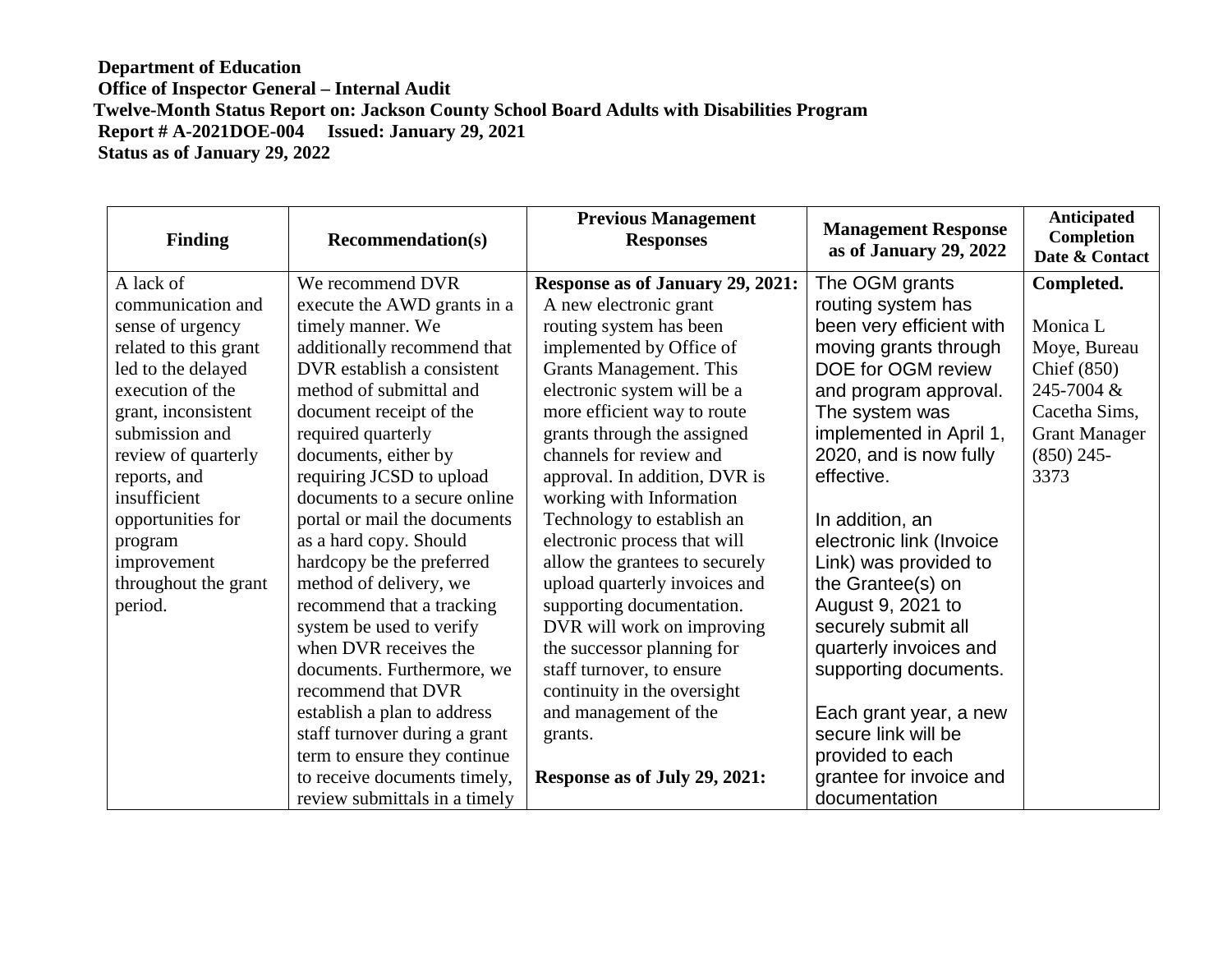## **Department of Education Office of Inspector General – Internal Audit Twelve-Month Status Report on: Jackson County School Board Adults with Disabilities Program Report # A-2021DOE-004 Issued: January 29, 2021 Status as of January 29, 2022**

| <b>Finding</b>        | <b>Recommendation(s)</b>      | <b>Previous Management</b><br><b>Responses</b> | <b>Management Response</b><br>as of January 29, 2022 | Anticipated<br><b>Completion</b><br>Date & Contact |
|-----------------------|-------------------------------|------------------------------------------------|------------------------------------------------------|----------------------------------------------------|
| A lack of             | We recommend DVR              | Response as of January 29, 2021:               | The OGM grants                                       | Completed.                                         |
| communication and     | execute the AWD grants in a   | A new electronic grant                         | routing system has                                   |                                                    |
| sense of urgency      | timely manner. We             | routing system has been                        | been very efficient with                             | Monica L                                           |
| related to this grant | additionally recommend that   | implemented by Office of                       | moving grants through                                | Moye, Bureau                                       |
| led to the delayed    | DVR establish a consistent    | Grants Management. This                        | DOE for OGM review                                   | Chief $(850)$                                      |
| execution of the      | method of submittal and       | electronic system will be a                    | and program approval.                                | 245-7004 &                                         |
| grant, inconsistent   | document receipt of the       | more efficient way to route                    | The system was                                       | Cacetha Sims,                                      |
| submission and        | required quarterly            | grants through the assigned                    | implemented in April 1,                              | <b>Grant Manager</b>                               |
| review of quarterly   | documents, either by          | channels for review and                        | 2020, and is now fully                               | $(850)$ 245-                                       |
| reports, and          | requiring JCSD to upload      | approval. In addition, DVR is                  | effective.                                           | 3373                                               |
| insufficient          | documents to a secure online  | working with Information                       |                                                      |                                                    |
| opportunities for     | portal or mail the documents  | Technology to establish an                     | In addition, an                                      |                                                    |
| program               | as a hard copy. Should        | electronic process that will                   | electronic link (Invoice                             |                                                    |
| improvement           | hardcopy be the preferred     | allow the grantees to securely                 | Link) was provided to                                |                                                    |
| throughout the grant  | method of delivery, we        | upload quarterly invoices and                  | the Grantee(s) on                                    |                                                    |
| period.               | recommend that a tracking     | supporting documentation.                      | August 9, 2021 to                                    |                                                    |
|                       | system be used to verify      | DVR will work on improving                     | securely submit all                                  |                                                    |
|                       | when DVR receives the         | the successor planning for                     | quarterly invoices and                               |                                                    |
|                       | documents. Furthermore, we    | staff turnover, to ensure                      | supporting documents.                                |                                                    |
|                       | recommend that DVR            | continuity in the oversight                    |                                                      |                                                    |
|                       | establish a plan to address   | and management of the                          | Each grant year, a new                               |                                                    |
|                       | staff turnover during a grant | grants.                                        | secure link will be                                  |                                                    |
|                       | term to ensure they continue  |                                                | provided to each                                     |                                                    |
|                       | to receive documents timely,  | Response as of July 29, 2021:                  | grantee for invoice and                              |                                                    |
|                       | review submittals in a timely |                                                | documentation                                        |                                                    |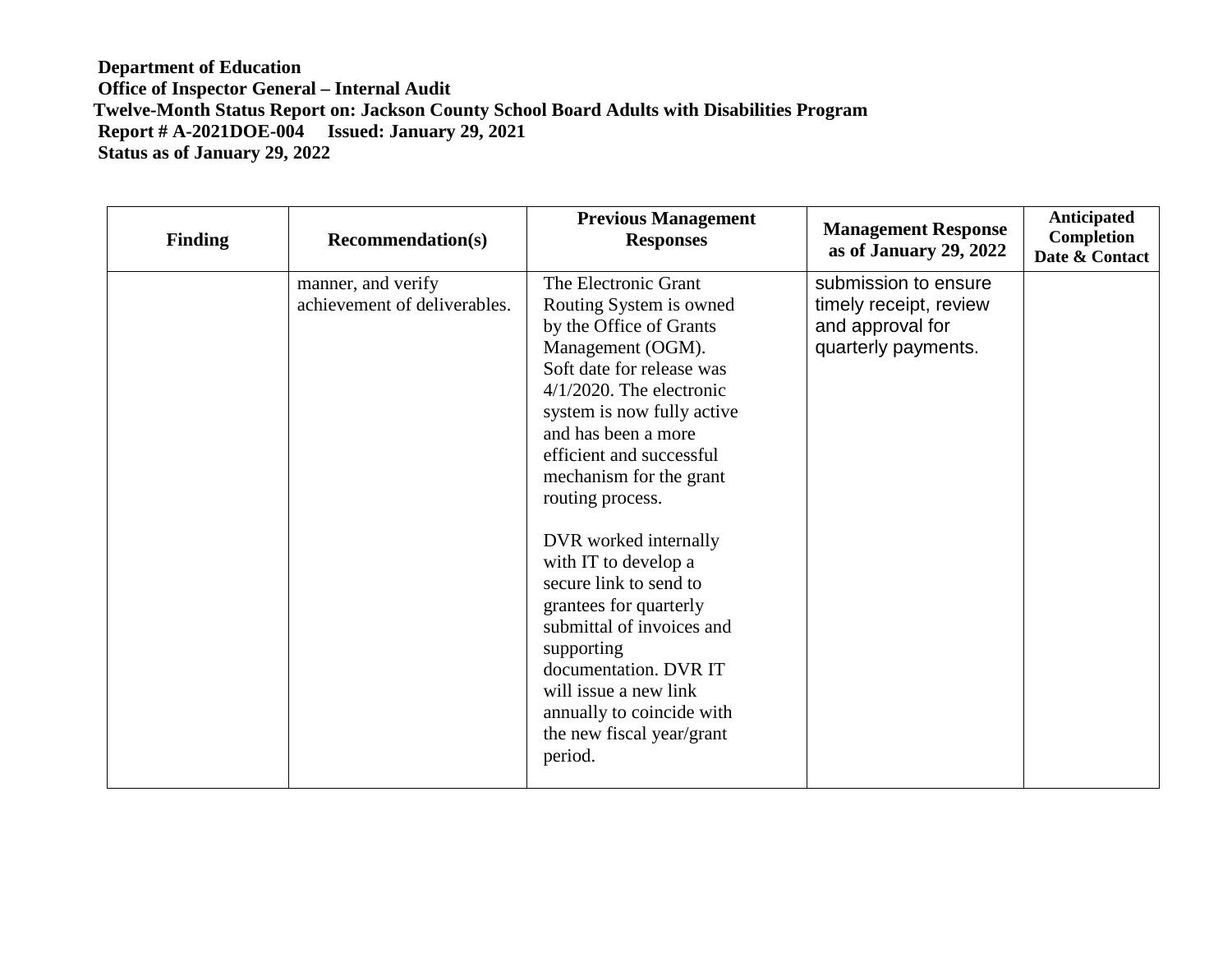## **Department of Education Office of Inspector General – Internal Audit Twelve-Month Status Report on: Jackson County School Board Adults with Disabilities Program Report # A-2021DOE-004 Issued: January 29, 2021 Status as of January 29, 2022**

| Finding | <b>Recommendation(s)</b>                           | <b>Previous Management</b><br><b>Responses</b>                                                                                                                                                                                                                                                                                                                                                                                                                                                                                                                     | <b>Management Response</b><br>as of January 29, 2022                                      | <b>Anticipated</b><br>Completion<br>Date & Contact |
|---------|----------------------------------------------------|--------------------------------------------------------------------------------------------------------------------------------------------------------------------------------------------------------------------------------------------------------------------------------------------------------------------------------------------------------------------------------------------------------------------------------------------------------------------------------------------------------------------------------------------------------------------|-------------------------------------------------------------------------------------------|----------------------------------------------------|
|         | manner, and verify<br>achievement of deliverables. | The Electronic Grant<br>Routing System is owned<br>by the Office of Grants<br>Management (OGM).<br>Soft date for release was<br>$4/1/2020$ . The electronic<br>system is now fully active<br>and has been a more<br>efficient and successful<br>mechanism for the grant<br>routing process.<br>DVR worked internally<br>with IT to develop a<br>secure link to send to<br>grantees for quarterly<br>submittal of invoices and<br>supporting<br>documentation. DVR IT<br>will issue a new link<br>annually to coincide with<br>the new fiscal year/grant<br>period. | submission to ensure<br>timely receipt, review<br>and approval for<br>quarterly payments. |                                                    |